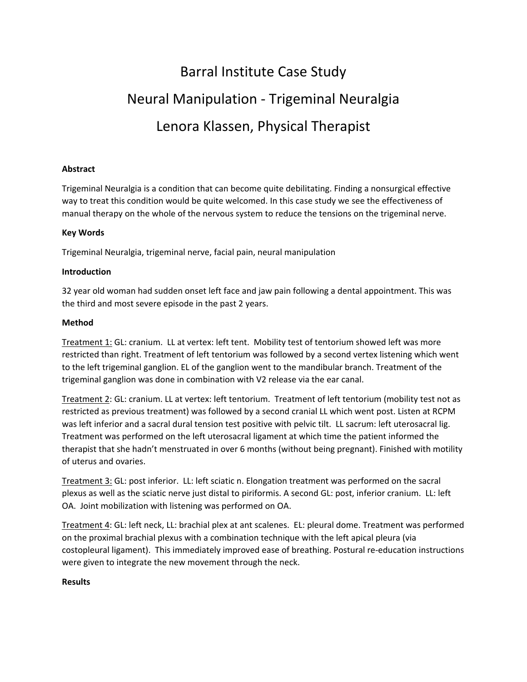# Barral Institute Case Study Neural Manipulation ‐ Trigeminal Neuralgia Lenora Klassen, Physical Therapist

## **Abstract**

Trigeminal Neuralgia is a condition that can become quite debilitating. Finding a nonsurgical effective way to treat this condition would be quite welcomed. In this case study we see the effectiveness of manual therapy on the whole of the nervous system to reduce the tensions on the trigeminal nerve.

## **Key Words**

Trigeminal Neuralgia, trigeminal nerve, facial pain, neural manipulation

## **Introduction**

32 year old woman had sudden onset left face and jaw pain following a dental appointment. This was the third and most severe episode in the past 2 years.

#### **Method**

Treatment 1: GL: cranium. LL at vertex: left tent. Mobility test of tentorium showed left was more restricted than right. Treatment of left tentorium was followed by a second vertex listening which went to the left trigeminal ganglion. EL of the ganglion went to the mandibular branch. Treatment of the trigeminal ganglion was done in combination with V2 release via the ear canal.

Treatment 2: GL: cranium. LL at vertex: left tentorium. Treatment of left tentorium (mobility test not as restricted as previous treatment) was followed by a second cranial LL which went post. Listen at RCPM was left inferior and a sacral dural tension test positive with pelvic tilt. LL sacrum: left uterosacral lig. Treatment was performed on the left uterosacral ligament at which time the patient informed the therapist that she hadn't menstruated in over 6 months (without being pregnant). Finished with motility of uterus and ovaries.

Treatment 3: GL: post inferior. LL: left sciatic n. Elongation treatment was performed on the sacral plexus as well as the sciatic nerve just distal to piriformis. A second GL: post, inferior cranium. LL: left OA. Joint mobilization with listening was performed on OA.

Treatment 4: GL: left neck, LL: brachial plex at ant scalenes. EL: pleural dome. Treatment was performed on the proximal brachial plexus with a combination technique with the left apical pleura (via costopleural ligament). This immediately improved ease of breathing. Postural re‐education instructions were given to integrate the new movement through the neck.

#### **Results**